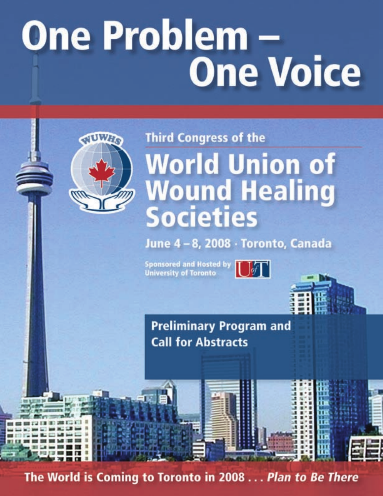# **One Problem -One Voice**



# **Third Congress of the World Union of Wound Healing Societies**

June 4-8, 2008 · Toronto, Canada

Sponsored and Hosted by  $\prod_{q \mid f}$ **University of Toronto** 



**Preliminary Program and Call for Abstracts** 

The World is Coming to Toronto in 2008... Plan to Be There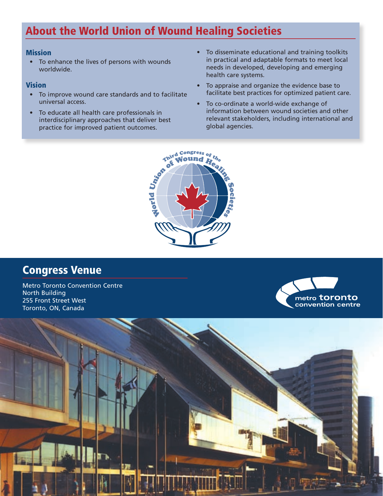### About the World Union of Wound Healing Societies

#### **Mission**

• To enhance the lives of persons with wounds worldwide.

#### Vision

- To improve wound care standards and to facilitate universal access.
- To educate all health care professionals in interdisciplinary approaches that deliver best
- To disseminate educational and training toolkits in practical and adaptable formats to meet local needs in developed, developing and emerging health care systems.
- To appraise and organize the evidence base to facilitate best practices for optimized patient care.
- To co-ordinate a world-wide exchange of information between wound societies and other relevant stakeholders, including international and global agencies.



### Congress Venue

Metro Toronto Convention Centre North Building 255 Front Street West Toronto, ON, Canada



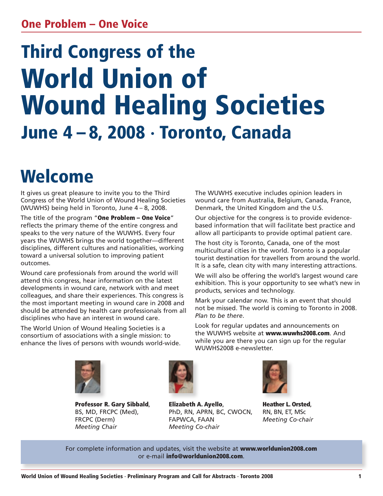### One Problem – One Voice

# Third Congress of the World Union of Wound Healing Societies June 4 – 8, 2008 · Toronto, Canada

# Welcome

It gives us great pleasure to invite you to the Third Congress of the World Union of Wound Healing Societies (WUWHS) being held in Toronto, June 4 – 8, 2008.

The title of the program "One Problem – One Voice" reflects the primary theme of the entire congress and speaks to the very nature of the WUWHS. Every four years the WUWHS brings the world together—different disciplines, different cultures and nationalities, working toward a universal solution to improving patient outcomes.

Wound care professionals from around the world will attend this congress, hear information on the latest developments in wound care, network with and meet colleagues, and share their experiences. This congress is the most important meeting in wound care in 2008 and should be attended by health care professionals from all disciplines who have an interest in wound care.

The World Union of Wound Healing Societies is a consortium of associations with a single mission: to enhance the lives of persons with wounds world-wide. The WUWHS executive includes opinion leaders in wound care from Australia, Belgium, Canada, France, Denmark, the United Kingdom and the U.S.

Our objective for the congress is to provide evidencebased information that will facilitate best practice and allow all participants to provide optimal patient care.

The host city is Toronto, Canada, one of the most multicultural cities in the world. Toronto is a popular tourist destination for travellers from around the world. It is a safe, clean city with many interesting attractions.

We will also be offering the world's largest wound care exhibition. This is your opportunity to see what's new in products, services and technology.

Mark your calendar now. This is an event that should not be missed. The world is coming to Toronto in 2008. *Plan to be there*.

Look for regular updates and announcements on the WUWHS website at www.wuwhs2008.com. And while you are there you can sign up for the regular WUWHS2008 e-newsletter.



Professor R. Gary Sibbald, BS, MD, FRCPC (Med), FRCPC (Derm) *Meeting Chair*



Elizabeth A. Ayello, PhD, RN, APRN, BC, CWOCN, FAPWCA, FAAN *Meeting Co-chair*



Heather L. Orsted, RN, BN, ET, MSc *Meeting Co-chair*

For complete information and updates, visit the website at www.worldunion2008.com or e-mail info@worldunion2008.com.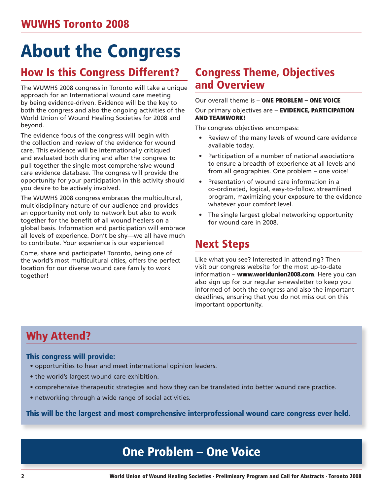# About the Congress

### How Is this Congress Different?

The WUWHS 2008 congress in Toronto will take a unique approach for an International wound care meeting by being evidence-driven. Evidence will be the key to both the congress and also the ongoing activities of the World Union of Wound Healing Societies for 2008 and beyond.

The evidence focus of the congress will begin with the collection and review of the evidence for wound care. This evidence will be internationally critiqued and evaluated both during and after the congress to pull together the single most comprehensive wound care evidence database. The congress will provide the opportunity for your participation in this activity should you desire to be actively involved.

The WUWHS 2008 congress embraces the multicultural, multidisciplinary nature of our audience and provides an opportunity not only to network but also to work together for the benefit of all wound healers on a global basis. Information and participation will embrace all levels of experience. Don't be shy—we all have much to contribute. Your experience is our experience!

Come, share and participate! Toronto, being one of the world's most multicultural cities, offers the perfect location for our diverse wound care family to work together!

### Congress Theme, Objectives and Overview

#### Our overall theme is – ONE PROBLEM – ONE VOICE

Our primary objectives are - EVIDENCE, PARTICIPATION AND TEAMWORK!

The congress objectives encompass:

- Review of the many levels of wound care evidence available today.
- Participation of a number of national associations to ensure a breadth of experience at all levels and from all geographies. One problem – one voice!
- Presentation of wound care information in a co-ordinated, logical, easy-to-follow, streamlined program, maximizing your exposure to the evidence whatever your comfort level.
- The single largest global networking opportunity for wound care in 2008.

### Next Steps

Like what you see? Interested in attending? Then visit our congress website for the most up-to-date information – www.worldunion2008.com. Here you can also sign up for our regular e-newsletter to keep you informed of both the congress and also the important deadlines, ensuring that you do not miss out on this important opportunity.

### Why Attend?

#### This congress will provide:

- opportunities to hear and meet international opinion leaders.
- the world's largest wound care exhibition.
- comprehensive therapeutic strategies and how they can be translated into better wound care practice.
- networking through a wide range of social activities.

This will be the largest and most comprehensive interprofessional wound care congress ever held.

### One Problem – One Voice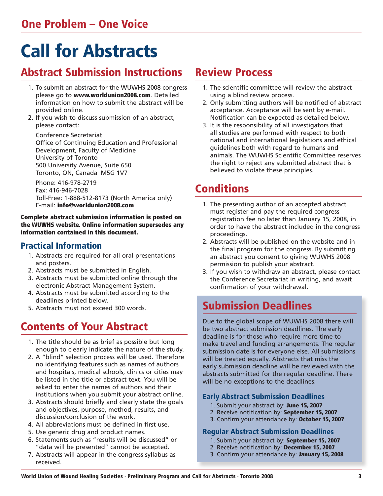# Call for Abstracts

### Abstract Submission Instructions

- 1. To submit an abstract for the WUWHS 2008 congress please go to www.worldunion2008.com. Detailed information on how to submit the abstract will be provided online.
- 2. If you wish to discuss submission of an abstract, please contact:

 Conference Secretariat Office of Continuing Education and Professional Development, Faculty of Medicine University of Toronto 500 University Avenue, Suite 650 Toronto, ON, Canada M5G 1V7

 Phone: 416-978-2719 Fax: 416-946-7028 Toll-Free: 1-888-512-8173 (North America only) E-mail: info@worldunion2008.com

#### Complete abstract submission information is posted on the WUWHS website. Online information supersedes any information contained in this document.

### Practical Information

- 1. Abstracts are required for all oral presentations and posters.
- 2. Abstracts must be submitted in English.
- 3. Abstracts must be submitted online through the electronic Abstract Management System.
- 4. Abstracts must be submitted according to the deadlines printed below.
- 5. Abstracts must not exceed 300 words.

### Contents of Your Abstract

- 1. The title should be as brief as possible but long enough to clearly indicate the nature of the study.
- 2. A "blind" selection process will be used. Therefore no identifying features such as names of authors and hospitals, medical schools, clinics or cities may be listed in the title or abstract text. You will be asked to enter the names of authors and their institutions when you submit your abstract online.
- 3. Abstracts should briefly and clearly state the goals and objectives, purpose, method, results, and discussion/conclusion of the work.
- 4. All abbreviations must be defined in first use.
- 5. Use generic drug and product names.
- 6. Statements such as "results will be discussed" or "data will be presented" cannot be accepted.
- 7. Abstracts will appear in the congress syllabus as received.

### Review Process

- 1. The scientific committee will review the abstract using a blind review process.
- 2. Only submitting authors will be notified of abstract acceptance. Acceptance will be sent by e-mail. Notification can be expected as detailed below.
- 3. It is the responsibility of all investigators that all studies are performed with respect to both national and international legislations and ethical guidelines both with regard to humans and animals. The WUWHS Scientific Committee reserves the right to reject any submitted abstract that is believed to violate these principles.

### Conditions

- 1. The presenting author of an accepted abstract must register and pay the required congress registration fee no later than January 15, 2008, in order to have the abstract included in the congress proceedings.
- 2. Abstracts will be published on the website and in the final program for the congress. By submitting an abstract you consent to giving WUWHS 2008 permission to publish your abstract.
- 3. If you wish to withdraw an abstract, please contact the Conference Secretariat in writing, and await confirmation of your withdrawal.

### Submission Deadlines

Due to the global scope of WUWHS 2008 there will be two abstract submission deadlines. The early deadline is for those who require more time to make travel and funding arrangements. The regular submission date is for everyone else. All submissions will be treated equally. Abstracts that miss the early submission deadline will be reviewed with the abstracts submitted for the regular deadline. There will be no exceptions to the deadlines.

#### Early Abstract Submission Deadlines

- 1. Submit your abstract by: June 15, 2007
- 2. Receive notification by: September 15, 2007
- 3. Confirm your attendance by: October 15, 2007

#### Regular Abstract Submission Deadlines

- 1. Submit your abstract by: September 15, 2007
- 2. Receive notification by: December 15, 2007
- 3. Confirm your attendance by: January 15, 2008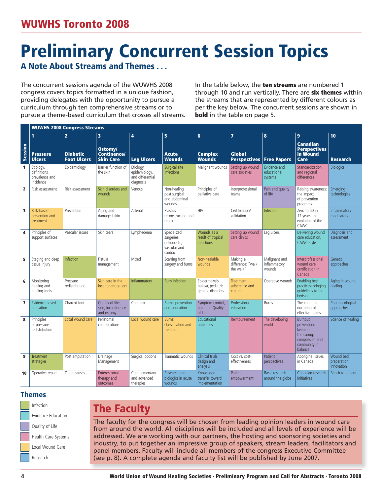# Preliminary Concurrent Session Topics

### A Note About Streams and Themes . . .

The concurrent sessions agenda of the WUWHS 2008 congress covers topics formatted in a unique fashion, providing delegates with the opportunity to pursue a curriculum through ten comprehensive streams or to pursue a theme-based curriculum that crosses all streams.

In the table below, the ten streams are numbered 1 through 10 and run vertically. There are six themes within the streams that are represented by different colours as per the key below. The concurrent sessions are shown in **bold** in the table on page 5.

|                         | <b>WUWHS 2008 Congress Streams</b>                       |                                       |                                                      |                                                             |                                                                     |                                                         |                                              |                                         |                                                                                                      |                                               |
|-------------------------|----------------------------------------------------------|---------------------------------------|------------------------------------------------------|-------------------------------------------------------------|---------------------------------------------------------------------|---------------------------------------------------------|----------------------------------------------|-----------------------------------------|------------------------------------------------------------------------------------------------------|-----------------------------------------------|
|                         | 1                                                        | $\overline{2}$                        | 3                                                    | $\overline{a}$                                              | $\overline{\mathbf{5}}$                                             | $6\phantom{1}$                                          | $\overline{\mathbf{z}}$                      | 8                                       | $\overline{9}$                                                                                       | 10                                            |
| Session                 | <b>Pressure</b><br><b>Ulcers</b>                         | <b>Diabetic</b><br><b>Foot Ulcers</b> | Ostomy/<br><b>Continence/</b><br><b>Skin Care</b>    | <b>Leg Ulcers</b>                                           | <b>Acute</b><br><b>Wounds</b>                                       | <b>Complex</b><br><b>Wounds</b>                         | Global<br><b>Perspectives</b>                | <b>Free Papers</b>                      | <b>Canadian</b><br><b>Perspectives</b><br>in Wound<br>Care                                           | <b>Research</b>                               |
| $\mathbf{1}$            | Etiology,<br>definitions.<br>prevalence and<br>incidence | Epidemiology                          | Barrier function of<br>the skin                      | Etiology,<br>epidemiology,<br>and differential<br>diagnosis | Surgical site<br><i>infections</i>                                  | Malignant wounds                                        | Setting up wound<br>care societies           | Evidence and<br>educational<br>systems  | <b>Standardization</b><br>and regional<br>differences                                                | <b>Biologics</b>                              |
| $\overline{2}$          | Risk assessment                                          | Risk assessment                       | Skin disorders and<br>wounds                         | Venous                                                      | Non-healing<br>post surgical<br>and abdominal<br>wounds             | Principles of<br>palliative care                        | Interprofessional<br>teams                   | Pain and quality<br>of life             | Raising awareness:<br>the impact<br>of prevention<br>programs                                        | Emerging<br>technologies                      |
| $\overline{\mathbf{3}}$ | Risk-based<br>prevention and<br>treatment                | Prevention                            | Aging and<br>damaged skin                            | Arterial                                                    | Plastics<br>reconstruction and<br>repair                            | <b>HIV</b>                                              | Certification/<br>validation                 | Infection                               | Zero to 60 in<br>12 years: the<br>evolution of the<br>CAWC.                                          | Inflammatory<br>modulators                    |
| $\overline{4}$          | Principles of<br>support surfaces                        | Vascular issues                       | Skin tears                                           | Lymphedema                                                  | Specialized<br>surgeries:<br>orthopedic,<br>vascular and<br>cardiac | Wounds as a<br>result of tropical<br><i>infections</i>  | Setting up wound<br>care clinics             | Leg ulcers                              | Delivering wound<br>care education,<br>CAWC-style                                                    | Diagnosis and<br>assessment                   |
| 5                       | Staging and deep<br>tissue injury                        | Infection                             | Fistula<br>management                                | Mixed                                                       | Scarring from<br>surgery and burns                                  | Non-healable<br>wounds                                  | Making a<br>difference: "walk<br>the walk"   | Malignant and<br>inflammatory<br>wounds | Interprofessional<br>wound care<br>certification in<br>Canada                                        | Genetic<br>approaches                         |
| 6                       | Monitoring<br>healing and<br>healing tools               | Pressure<br>redistribution            | Skin care in the<br>incontinent patient              | Inflammatory                                                | <b>Burn</b> infection                                               | Epidermolysis<br>bulosa, pediatric<br>genetic disorders | <b>Treatment</b><br>adherence and<br>culture | Operative wounds                        | <b>Enabling best</b><br>practices: bringing<br>quidelines to the<br>bedside                          | Aging in wound<br>healing                     |
| $\overline{ }$          | Evidence-based<br>education                              | Charcot foot                          | Quality of life:<br>skin, incontinence<br>and ostomy | Complex                                                     | <b>Burns: prevention</b><br>and education                           | Symptom control,<br>pain and Quality<br>of Life         | Professional<br>education                    | Burns                                   | The care and<br>nurturing of<br>effective teams                                                      | Pharmacological<br>approaches                 |
| 8                       | Principles<br>of pressure<br>redistribution              | Local wound care                      | Peristomal<br>complications                          | Local wound care                                            | Burns:<br>classification and<br>treatment                           | Educational<br>outcomes                                 | Reimbursement                                | The developing<br>world                 | <b>Burnout</b><br>prevention:<br>keeping<br>the caring,<br>compassion and<br>community in<br>balance | Science of healing                            |
| 9                       | Treatment<br>strategies                                  | Post amputation                       | Drainage<br>Management                               | Surgical options                                            | Traumatic wounds                                                    | Clinical trials<br>design and<br>analysis               | Cost vs. cost-<br>effectiveness              | Patient<br>perspectives                 | Aboriginal issues<br>in Canada                                                                       | Wound bed<br>preparation<br><i>innovation</i> |
| 10                      | Operative repair                                         | Other causes                          | Enterostomal<br>therapy and<br>outcomes              | Complementary<br>and advanced<br>therapies                  | Research and<br>biologics in acute<br>wounds                        | Knowledge<br>transfer toward<br>implementation          | Patient<br>empowerment                       | Basic research<br>around the globe      | Canadian research<br><i>initiatives</i>                                                              | Bench to patient                              |

#### Themes

| Infection           |  |  |  |  |  |
|---------------------|--|--|--|--|--|
| Evidence Education  |  |  |  |  |  |
| Quality of Life     |  |  |  |  |  |
| Health Care Systems |  |  |  |  |  |
| Local Wound Care    |  |  |  |  |  |
| Research            |  |  |  |  |  |

### The Faculty

The faculty for the congress will be chosen from leading opinion leaders in wound care from around the world. All disciplines will be included and all levels of experience will be addressed. We are working with our partners, the hosting and sponsoring societies and industry, to put together an impressive group of speakers, stream leaders, facilitators and panel members. Faculty will include all members of the congress Executive Committee (see p. 8). A complete agenda and faculty list will be published by June 2007.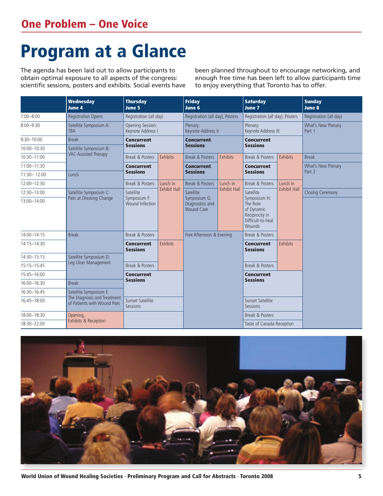# Program at a Glance

The agenda has been laid out to allow participants to obtain optimal exposure to all aspects of the congress: scientific sessions, posters and exhibits. Social events have been planned throughout to encourage networking, and enough free time has been left to allow participants time to enjoy everything that Toronto has to offer.

|                                                                           | <b>Wednesday</b><br><b>June 4</b> | <b>Thursday</b><br><b>June 5</b>      |                                      | <b>Friday</b><br>June 6                              |                     | <b>Saturday</b><br>June 7                                                               |                                 | <b>Sunday</b><br><b>June 8</b> |  |
|---------------------------------------------------------------------------|-----------------------------------|---------------------------------------|--------------------------------------|------------------------------------------------------|---------------------|-----------------------------------------------------------------------------------------|---------------------------------|--------------------------------|--|
| $7:00 - 8:00$<br><b>Registration Opens</b>                                |                                   | Registration (all day)                |                                      | Registration (all day), Posters                      |                     | Registration (all day), Posters                                                         |                                 | Registration (all day)         |  |
| $8:00 - 9:30$                                                             | Satellite Symposium A:<br>TBA     | Opening Session:<br>Keynote Address I |                                      | Plenary:<br>Keynote Address II                       |                     | Plenary:<br>Keynote Address III                                                         |                                 | What's New Plenary<br>Part 1   |  |
| $9:30 - 10:00$                                                            | <b>Concurrent</b><br><b>Break</b> |                                       | <b>Concurrent</b><br><b>Sessions</b> |                                                      | <b>Concurrent</b>   |                                                                                         |                                 |                                |  |
| $10:00 - 10:30$                                                           | Satellite Symposium B:            | <b>Sessions</b>                       |                                      |                                                      |                     | <b>Sessions</b>                                                                         |                                 |                                |  |
| 10:30-11:00                                                               | VAC-Assisted Therapy              | Break & Posters                       | Exhibits                             | Break & Posters                                      | Exhibits            | Break & Posters                                                                         | Exhibits                        | <b>Break</b>                   |  |
| 11:00-11:30                                                               |                                   |                                       |                                      | <b>Concurrent</b>                                    |                     | <b>Concurrent</b>                                                                       |                                 | What's New Plenary             |  |
| 11:30-12:00                                                               | Lunch                             | <b>Sessions</b>                       |                                      | <b>Sessions</b>                                      |                     | <b>Sessions</b>                                                                         |                                 | Part 2                         |  |
| 12:00-12:30                                                               |                                   | Break & Posters                       | Lunch In                             | Break & Posters                                      | Lunch In            | Break & Posters                                                                         | Lunch In<br><b>Exhibit Hall</b> |                                |  |
| 12:30-13:00                                                               | Satellite Symposium C:            | Satellite<br>Symposium F:             | <b>Exhibit Hall</b>                  | Satellite                                            | <b>Exhibit Hall</b> | Satellite                                                                               |                                 | <b>Closing Ceremony</b>        |  |
| 13:00-14:00                                                               | Pain at Dressing Change           |                                       |                                      | Symposium G:<br>Diagnostics and<br><b>Wound Care</b> |                     | Symposium H:<br>The Role<br>of Dynamic<br>Reciprocity in<br>Difficult-to-heal<br>Wounds |                                 |                                |  |
| 14:00-14:15                                                               | <b>Break</b>                      |                                       |                                      | Free Afternoon & Evening                             |                     | Break & Posters                                                                         |                                 |                                |  |
| 14:15-14:30                                                               |                                   |                                       | Exhibits                             |                                                      |                     | <b>Concurrent</b><br><b>Sessions</b>                                                    | Exhibits                        |                                |  |
| 14:30-15:15                                                               | Satellite Symposium D:            |                                       |                                      |                                                      |                     |                                                                                         |                                 |                                |  |
| 15:15-15:45                                                               | Leg Ulcer Management              | Break & Posters                       |                                      |                                                      |                     | Break & Posters                                                                         |                                 |                                |  |
| 15:45-16:00                                                               |                                   | <b>Concurrent</b>                     |                                      |                                                      |                     | <b>Concurrent</b>                                                                       |                                 |                                |  |
| 16:00-16:30                                                               | <b>Break</b>                      | <b>Sessions</b>                       |                                      |                                                      |                     | <b>Sessions</b>                                                                         |                                 |                                |  |
| 16:30-16:45<br>Satellite Symposium E                                      |                                   |                                       |                                      |                                                      |                     |                                                                                         |                                 |                                |  |
| The Diagnosis and Treatment<br>16:45-18:00<br>of Patients with Wound Pain |                                   | Sunset Satellite<br>Sessions          |                                      |                                                      |                     | Sunset Satellite<br>Sessions                                                            |                                 |                                |  |
| 18:00-18:30                                                               | Opening,                          |                                       |                                      |                                                      |                     | Break & Posters                                                                         |                                 |                                |  |
| 18:30-22:00                                                               | Exhibits & Reception              |                                       |                                      |                                                      |                     | Taste of Canada Reception                                                               |                                 |                                |  |



World Union of Wound Healing Societies · Preliminary Program and Call for Abstracts · Toronto 2008 5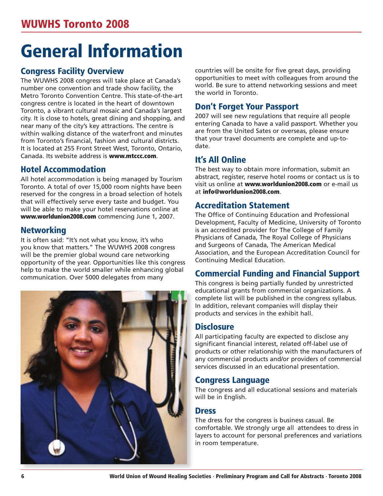# General Information

### Congress Facility Overview

The WUWHS 2008 congress will take place at Canada's number one convention and trade show facility, the Metro Toronto Convention Centre. This state-of-the-art congress centre is located in the heart of downtown Toronto, a vibrant cultural mosaic and Canada's largest city. It is close to hotels, great dining and shopping, and near many of the city's key attractions. The centre is within walking distance of the waterfront and minutes from Toronto's financial, fashion and cultural districts. It is located at 255 Front Street West, Toronto, Ontario, Canada. Its website address is www.mtccc.com.

#### Hotel Accommodation

All hotel accommodation is being managed by Tourism Toronto. A total of over 15,000 room nights have been reserved for the congress in a broad selection of hotels that will effectively serve every taste and budget. You will be able to make your hotel reservations online at www.worldunion2008.com commencing June 1, 2007.

#### Networking

It is often said: "It's not what you know, it's who you know that matters." The WUWHS 2008 congress will be the premier global wound care networking opportunity of the year. Opportunities like this congress help to make the world smaller while enhancing global communication. Over 5000 delegates from many



countries will be onsite for five great days, providing opportunities to meet with colleagues from around the world. Be sure to attend networking sessions and meet the world in Toronto.

### Don't Forget Your Passport

2007 will see new regulations that require all people entering Canada to have a valid passport. Whether you are from the United Sates or overseas, please ensure that your travel documents are complete and up-todate.

### It's All Online

The best way to obtain more information, submit an abstract, register, reserve hotel rooms or contact us is to visit us online at www.worldunion2008.com or e-mail us at info@worldunion2008.com.

### Accreditation Statement

The Office of Continuing Education and Professional Development, Faculty of Medicine, University of Toronto is an accredited provider for The College of Family Physicians of Canada, The Royal College of Physicians and Surgeons of Canada, The American Medical Association, and the European Accreditation Council for Continuing Medical Education.

### Commercial Funding and Financial Support

This congress is being partially funded by unrestricted educational grants from commercial organizations. A complete list will be published in the congress syllabus. In addition, relevant companies will display their products and services in the exhibit hall.

### **Disclosure**

All participating faculty are expected to disclose any significant financial interest, related off-label use of products or other relationship with the manufacturers of any commercial products and/or providers of commercial services discussed in an educational presentation.

#### Congress Language

The congress and all educational sessions and materials will be in English.

#### **Dress**

The dress for the congress is business casual. Be comfortable. We strongly urge all attendees to dress in layers to account for personal preferences and variations in room temperature.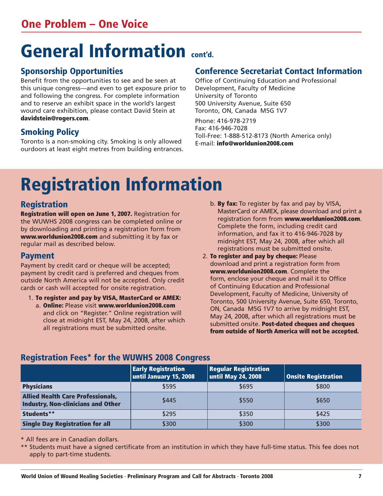# General Information cont'd.

### Sponsorship Opportunities

Benefit from the opportunities to see and be seen at this unique congress—and even to get exposure prior to and following the congress. For complete information and to reserve an exhibit space in the world's largest wound care exhibition, please contact David Stein at davidstein@rogers.com.

### Smoking Policy

Toronto is a non-smoking city. Smoking is only allowed ourdoors at least eight metres from building entrances.

### Conference Secretariat Contact Information

Office of Continuing Education and Professional Development, Faculty of Medicine University of Toronto 500 University Avenue, Suite 650 Toronto, ON, Canada M5G 1V7

Phone: 416-978-2719 Fax: 416-946-7028 Toll-Free: 1-888-512-8173 (North America only) E-mail: info@worldunion2008.com

# Registration Information

### Registration

Registration will open on June 1, 2007. Registration for the WUWHS 2008 congress can be completed online or by downloading and printing a registration form from www.worldunion2008.com and submitting it by fax or regular mail as described below.

### Payment

Payment by credit card or cheque will be accepted; payment by credit card is preferred and cheques from outside North America will not be accepted. Only credit cards or cash will accepted for onsite registration.

- 1. To register and pay by VISA, MasterCard or AMEX: a. Online: Please visit www.worldunion2008.com and click on "Register." Online registration will close at midnight EST, May 24, 2008, after which all registrations must be submitted onsite.
- b. By fax: To register by fax and pay by VISA, MasterCard or AMEX, please download and print a registration form from www.worldunion2008.com. Complete the form, including credit card information, and fax it to 416-946-7028 by midnight EST, May 24, 2008, after which all registrations must be submitted onsite.
- 2. To register and pay by cheque: Please download and print a registration form from www.worldunion2008.com. Complete the form, enclose your cheque and mail it to Office of Continuing Education and Professional Development, Faculty of Medicine, University of Toronto, 500 University Avenue, Suite 650, Toronto, ON, Canada M5G 1V7 to arrive by midnight EST, May 24, 2008, after which all registrations must be submitted onsite. Post-dated cheques and cheques from outside of North America will not be accepted.

### Registration Fees\* for the WUWHS 2008 Congress

|                                                                                       | <b>Early Registration</b><br>until January 15, 2008 | <b>Regular Registration</b><br>until May 24, 2008 | <b>Onsite Registration</b> |
|---------------------------------------------------------------------------------------|-----------------------------------------------------|---------------------------------------------------|----------------------------|
| <b>Physicians</b>                                                                     | \$595                                               | \$695                                             | \$800                      |
| <b>Allied Health Care Professionals,</b><br><b>Industry, Non-clinicians and Other</b> | \$445                                               | \$550                                             | \$650                      |
| Students**                                                                            | \$295                                               | \$350                                             | \$425                      |
| <b>Single Day Registration for all</b>                                                | \$300                                               | \$300                                             | \$300                      |

\* All fees are in Canadian dollars.

\*\* Students must have a signed certificate from an institution in which they have full-time status. This fee does not apply to part-time students.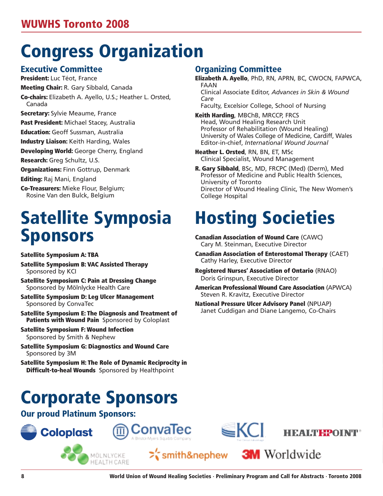# Congress Organization

#### Executive Committee

President: Luc Téot, France Meeting Chair: R. Gary Sibbald, Canada Co-chairs: Elizabeth A. Ayello, U.S.; Heather L. Orsted, Canada

**Secretary:** Sylvie Meaume, France

Past President: Michael Stacey, Australia

**Education:** Geoff Sussman, Australia

**Industry Liaison:** Keith Harding, Wales

Developing World: George Cherry, England

Research: Greg Schultz, U.S.

**Organizations: Finn Gottrup, Denmark** 

Editing: Raj Mani, England

Co-Treasurers: Mieke Flour, Belgium; Rosine Van den Bulck, Belgium

## Satellite Symposia Sponsors

Satellite Symposium A: TBA

Satellite Symposium B: VAC Assisted Therapy Sponsored by KCI

Satellite Symposium C: Pain at Dressing Change Sponsored by Mölnlycke Health Care

- Satellite Symposium D: Leg Ulcer Management Sponsored by ConvaTec
- Satellite Symposium E: The Diagnosis and Treatment of Patients with Wound Pain Sponsored by Coloplast

Satellite Symposium F: Wound Infection Sponsored by Smith & Nephew

Satellite Symposium G: Diagnostics and Wound Care Sponsored by 3M

Satellite Symposium H: The Role of Dynamic Reciprocity in **Difficult-to-heal Wounds** Sponsored by Healthpoint

# Corporate Sponsors

MÖLNLYCKE HEALTH CARE

Our proud Platinum Sponsors:

**Coloplast** 

### Organizing Committee

Elizabeth A. Ayello, PhD, RN, APRN, BC, CWOCN, FAPWCA, FAAN

Clinical Associate Editor, *Advances in Skin & Wound Care*

Faculty, Excelsior College, School of Nursing

Keith Harding, MBChB, MRCCP, FRCS Head, Wound Healing Research Unit Professor of Rehabilitation (Wound Healing) University of Wales College of Medicine, Cardiff, Wales Editor-in-chief, *International Wound Journal*

- Heather L. Orsted, RN, BN, ET, MSc Clinical Specialist, Wound Management
- R. Gary Sibbald, BSc, MD, FRCPC (Med) (Derm), Med Professor of Medicine and Public Health Sciences, University of Toronto Director of Wound Healing Clinic, The New Women's College Hospital

# Hosting Societies

- Canadian Association of Wound Care (CAWC) Cary M. Steinman, Executive Director
- Canadian Association of Enterostomal Therapy (CAET) Cathy Harley, Executive Director
- Registered Nurses' Association of Ontario (RNAO) Doris Grinspun, Executive Director
- American Professional Wound Care Association (APWCA) Steven R. Kravitz, Executive Director

**3M** Worldwide

National Pressure Ulcer Advisory Panel (NPUAP) Janet Cuddigan and Diane Langemo, Co-Chairs







ConvaTec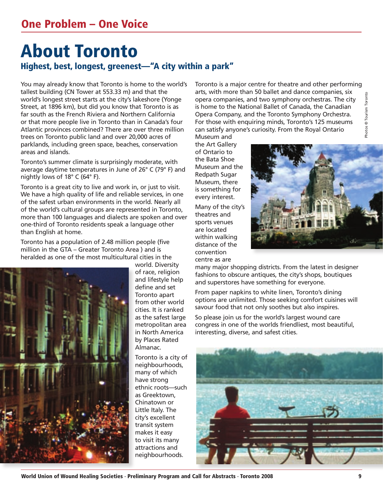### About Toronto Highest, best, longest, greenest—"A city within a park"

You may already know that Toronto is home to the world's tallest building (CN Tower at 553.33 m) and that the world's longest street starts at the city's lakeshore (Yonge Street, at 1896 km), but did you know that Toronto is as far south as the French Riviera and Northern California or that more people live in Toronto than in Canada's four Atlantic provinces combined? There are over three million trees on Toronto public land and over 20,000 acres of parklands, including green space, beaches, conservation areas and islands.

Toronto's summer climate is surprisingly moderate, with average daytime temperatures in June of 26° C (79° F) and nightly lows of 18° C (64° F).

Toronto is a great city to live and work in, or just to visit. We have a high quality of life and reliable services, in one of the safest urban environments in the world. Nearly all of the world's cultural groups are represented in Toronto, more than 100 languages and dialects are spoken and over one-third of Toronto residents speak a language other than English at home.

Toronto has a population of 2.48 million people (five million in the GTA – Greater Toronto Area ) and is heralded as one of the most multicultural cities in the



world. Diversity of race, religion and lifestyle help define and set Toronto apart from other world cities. It is ranked as the safest large metropolitan area in North America by Places Rated Almanac.

Toronto is a city of neighbourhoods, many of which have strong ethnic roots—such as Greektown, Chinatown or Little Italy. The city's excellent transit system makes it easy to visit its many attractions and neighbourhoods.

Toronto is a major centre for theatre and other performing arts, with more than 50 ballet and dance companies, six opera companies, and two symphony orchestras. The city is home to the National Ballet of Canada, the Canadian Opera Company, and the Toronto Symphony Orchestra. For those with enquiring minds, Toronto's 125 museums can satisfy anyone's curiosity. From the Royal Ontario

Museum and the Art Gallery of Ontario to the Bata Shoe Museum and the Redpath Sugar Museum, there is something for every interest.

Many of the city's theatres and sports venues are located within walking distance of the convention centre as are



many major shopping districts. From the latest in designer fashions to obscure antiques, the city's shops, boutiques and superstores have something for everyone.

From paper napkins to white linen, Toronto's dining options are unlimited. Those seeking comfort cuisines will savour food that not only soothes but also inspires.

So please join us for the world's largest wound care congress in one of the worlds friendliest, most beautiful, interesting, diverse, and safest cities.



World Union of Wound Healing Societies · Preliminary Program and Call for Abstracts · Toronto 2008 9